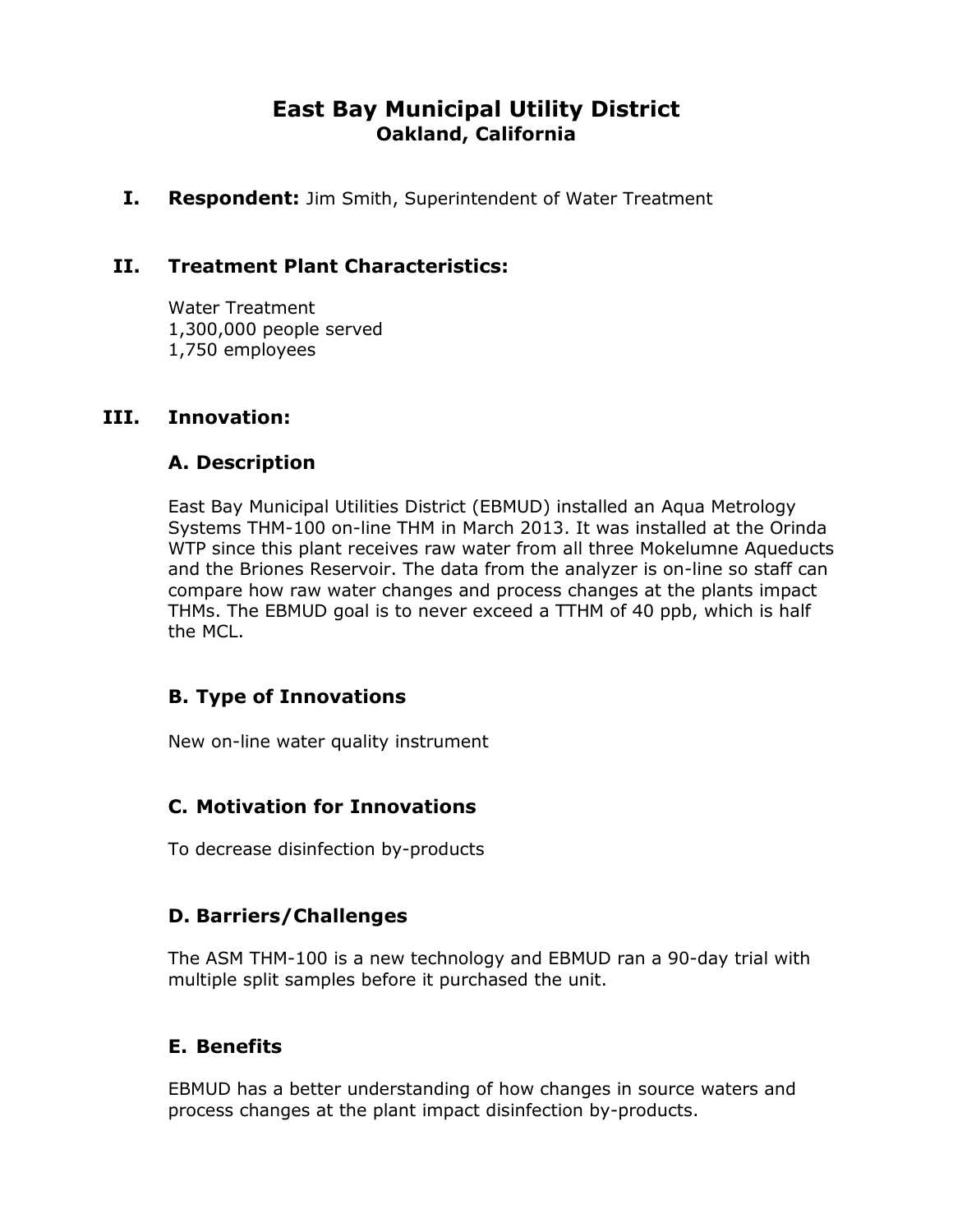# **East Bay Municipal Utility District Oakland, California**

**I. Respondent:** Jim Smith, Superintendent of Water Treatment

### **II. Treatment Plant Characteristics:**

Water Treatment 1,300,000 people served 1,750 employees

#### **III. Innovation:**

#### **A. Description**

East Bay Municipal Utilities District (EBMUD) installed an Aqua Metrology Systems THM-100 on-line THM in March 2013. It was installed at the Orinda WTP since this plant receives raw water from all three Mokelumne Aqueducts and the Briones Reservoir. The data from the analyzer is on-line so staff can compare how raw water changes and process changes at the plants impact THMs. The EBMUD goal is to never exceed a TTHM of 40 ppb, which is half the MCL.

#### **B. Type of Innovations**

New on-line water quality instrument

#### **C. Motivation for Innovations**

To decrease disinfection by-products

#### **D. Barriers/Challenges**

The ASM THM-100 is a new technology and EBMUD ran a 90-day trial with multiple split samples before it purchased the unit.

#### **E. Benefits**

EBMUD has a better understanding of how changes in source waters and process changes at the plant impact disinfection by-products.